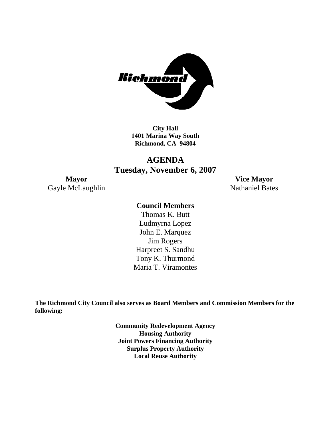

**City Hall 1401 Marina Way South Richmond, CA 94804** 

# **AGENDA Tuesday, November 6, 2007**

Gayle McLaughlin Nathaniel Bates

**Mayor Vice Mayor** 

### **Council Members**

Harpreet S. Sandhu Tony K. Thurmond Maria T. Viramontes Thomas K. Butt Ludmyrna Lopez John E. Marquez Jim Rogers

**The Richmond City Council also serves as Board Members and Commission Members for the following:** 

> **Community Redevelopment Agency Housing Authority Joint Powers Financing Authority Surplus Property Authority Local Reuse Authority**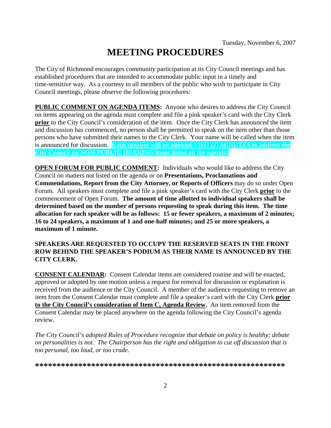# **MEETING PROCEDURES**

The City of Richmond encourages community participation at its City Council meetings and has established procedures that are intended to accommodate public input in a timely and time-sensitive way. As a courtesy to all members of the public who wish to participate in City Council meetings, please observe the following procedures:

**PUBLIC COMMENT ON AGENDA ITEMS:** Anyone who desires to address the City Council on items appearing on the agenda must complete and file a pink speaker's card with the City Clerk **prior** to the City Council's consideration of the item. Once the City Clerk has announced the item and discussion has commenced, no person shall be permitted to speak on the item other than those persons who have submitted their names to the City Clerk. Your name will be called when the item is announced for discussion. **Each speaker will be allowed TWO (2) MINUTES to address the City Council on NON-PUBLIC HEARING items listed on the agenda.** 

**OPEN FORUM FOR PUBLIC COMMENT:** Individuals who would like to address the City Council on matters not listed on the agenda or on **Presentations, Proclamations and Commendations, Report from the City Attorney, or Reports of Officers** may do so under Open Forum. All speakers must complete and file a pink speaker's card with the City Clerk **prior** to the commencement of Open Forum. **The amount of time allotted to individual speakers shall be determined based on the number of persons requesting to speak during this item. The time allocation for each speaker will be as follows: 15 or fewer speakers, a maximum of 2 minutes; 16 to 24 speakers, a maximum of 1 and one-half minutes; and 25 or more speakers, a maximum of 1 minute.** 

### **SPEAKERS ARE REQUESTED TO OCCUPY THE RESERVED SEATS IN THE FRONT ROW BEHIND THE SPEAKER'S PODIUM AS THEIR NAME IS ANNOUNCED BY THE CITY CLERK.**

**CONSENT CALENDAR:** Consent Calendar items are considered routine and will be enacted, approved or adopted by one motion unless a request for removal for discussion or explanation is received from the audience or the City Council. A member of the audience requesting to remove an item from the Consent Calendar must complete and file a speaker's card with the City Clerk **prior to the City Council's consideration of Item C, Agenda Review.** An item removed from the Consent Calendar may be placed anywhere on the agenda following the City Council's agenda review.

*The City Council's adopted Rules of Procedure recognize that debate on policy is healthy; debate on personalities is not. The Chairperson has the right and obligation to cut off discussion that is too personal, too loud, or too crude.* 

**\*\*\*\*\*\*\*\*\*\*\*\*\*\*\*\*\*\*\*\*\*\*\*\*\*\*\*\*\*\*\*\*\*\*\*\*\*\*\*\*\*\*\*\*\*\*\*\*\*\*\*\*\*\*\*\*\*\***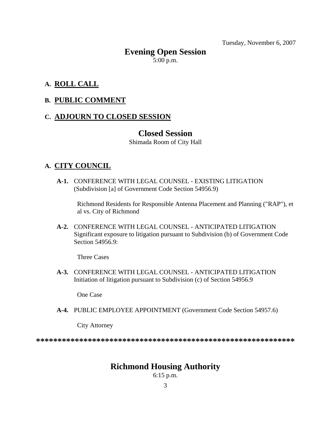Tuesday, November 6, 2007

# **Evening Open Session**   $5:00$  p.m.

### **A. ROLL CALL**

### **B. PUBLIC COMMENT**

### **C. ADJOURN TO CLOSED SESSION**

### **Closed Session**

Shimada Room of City Hall

### **A. CITY COUNCIL**

 **A-1.** CONFERENCE WITH LEGAL COUNSEL - EXISTING LITIGATION (Subdivision [a] of Government Code Section 54956.9)

Richmond Residents for Responsible Antenna Placement and Planning ("RAP"), et al vs. City of Richmond

 **A-2.** CONFERENCE WITH LEGAL COUNSEL - ANTICIPATED LITIGATION Significant exposure to litigation pursuant to Subdivision (b) of Government Code Section 54956.9:

Three Cases

 **A-3.** CONFERENCE WITH LEGAL COUNSEL - ANTICIPATED LITIGATION Initiation of litigation pursuant to Subdivision (c) of Section 54956.9

One Case

 **A-4.** PUBLIC EMPLOYEE APPOINTMENT (Government Code Section 54957.6)

City Attorney

**\*\*\*\*\*\*\*\*\*\*\*\*\*\*\*\*\*\*\*\*\*\*\*\*\*\*\*\*\*\*\*\*\*\*\*\*\*\*\*\*\*\*\*\*\*\*\*\*\*\*\*\*\*\*\*\*\*\*\*\*** 

# **Richmond Housing Authority**

6:15 p.m.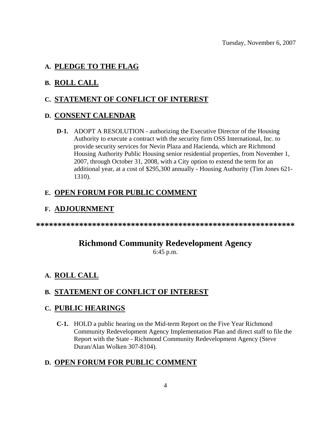### **A. PLEDGE TO THE FLAG**

## **B. ROLL CALL**

# **C. STATEMENT OF CONFLICT OF INTEREST**

### **D. CONSENT CALENDAR**

 **D-1.** ADOPT A RESOLUTION - authorizing the Executive Director of the Housing Authority to execute a contract with the security firm OSS International, Inc. to provide security services for Nevin Plaza and Hacienda, which are Richmond Housing Authority Public Housing senior residential properties, from November 1, 2007, through October 31, 2008, with a City option to extend the term for an additional year, at a cost of \$295,300 annually - Housing Authority (Tim Jones 621- 1310).

# **E. OPEN FORUM FOR PUBLIC COMMENT**

### **F. ADJOURNMENT**

**\*\*\*\*\*\*\*\*\*\*\*\*\*\*\*\*\*\*\*\*\*\*\*\*\*\*\*\*\*\*\*\*\*\*\*\*\*\*\*\*\*\*\*\*\*\*\*\*\*\*\*\*\*\*\*\*\*\*\*\*** 

# **Richmond Community Redevelopment Agency**

6:45 p.m.

# **A. ROLL CALL**

# **B. STATEMENT OF CONFLICT OF INTEREST**

### **C. PUBLIC HEARINGS**

 **C-1.** HOLD a public hearing on the Mid-term Report on the Five Year Richmond Community Redevelopment Agency Implementation Plan and direct staff to file the Report with the State - Richmond Community Redevelopment Agency (Steve Duran/Alan Wolken 307-8104).

# **D. OPEN FORUM FOR PUBLIC COMMENT**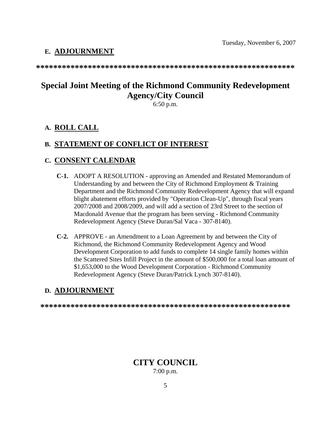### **E. ADJOURNMENT**

**\*\*\*\*\*\*\*\*\*\*\*\*\*\*\*\*\*\*\*\*\*\*\*\*\*\*\*\*\*\*\*\*\*\*\*\*\*\*\*\*\*\*\*\*\*\*\*\*\*\*\*\*\*\*\*\*\*\*\*\*** 

# **Special Joint Meeting of the Richmond Community Redevelopment Agency/City Council**

6:50 p.m.

# **A. ROLL CALL**

### **B. STATEMENT OF CONFLICT OF INTEREST**

### **C. CONSENT CALENDAR**

- **C-1.** ADOPT A RESOLUTION approving an Amended and Restated Memorandum of Understanding by and between the City of Richmond Employment & Training Department and the Richmond Community Redevelopment Agency that will expand blight abatement efforts provided by "Operation Clean-Up", through fiscal years 2007/2008 and 2008/2009, and will add a section of 23rd Street to the section of Macdonald Avenue that the program has been serving - Richmond Community Redevelopment Agency (Steve Duran/Sal Vaca - 307-8140).
- **C-2.** APPROVE an Amendment to a Loan Agreement by and between the City of Richmond, the Richmond Community Redevelopment Agency and Wood Development Corporation to add funds to complete 14 single family homes within the Scattered Sites Infill Project in the amount of \$500,000 for a total loan amount of \$1,653,000 to the Wood Development Corporation - Richmond Community Redevelopment Agency (Steve Duran/Patrick Lynch 307-8140).

### **D. ADJOURNMENT**

**\*\*\*\*\*\*\*\*\*\*\*\*\*\*\*\*\*\*\*\*\*\*\*\*\*\*\*\*\*\*\*\*\*\*\*\*\*\*\*\*\*\*\*\*\*\*\*\*\*\*\*\*\*\*\*\*\*\*** 

# **CITY COUNCIL**

7:00 p.m.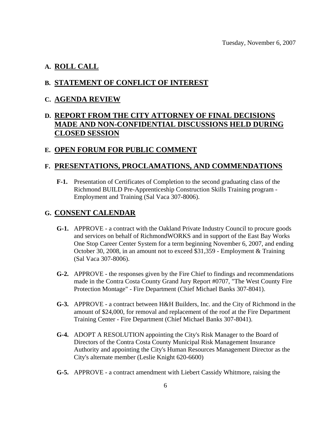### **A. ROLL CALL**

### **B. STATEMENT OF CONFLICT OF INTEREST**

#### **C. AGENDA REVIEW**

# **D. REPORT FROM THE CITY ATTORNEY OF FINAL DECISIONS MADE AND NON-CONFIDENTIAL DISCUSSIONS HELD DURING CLOSED SESSION**

### **E. OPEN FORUM FOR PUBLIC COMMENT**

### **F. PRESENTATIONS, PROCLAMATIONS, AND COMMENDATIONS**

 **F-1.** Presentation of Certificates of Completion to the second graduating class of the Richmond BUILD Pre-Apprenticeship Construction Skills Training program - Employment and Training (Sal Vaca 307-8006).

### **G. CONSENT CALENDAR**

- **G-1.** APPROVE a contract with the Oakland Private Industry Council to procure goods and services on behalf of RichmondWORKS and in support of the East Bay Works One Stop Career Center System for a term beginning November 6, 2007, and ending October 30, 2008, in an amount not to exceed \$31,359 - Employment & Training (Sal Vaca 307-8006).
- **G-2.** APPROVE the responses given by the Fire Chief to findings and recommendations made in the Contra Costa County Grand Jury Report #0707, "The West County Fire Protection Montage" - Fire Department (Chief Michael Banks 307-8041).
- **G-3.** APPROVE a contract between H&H Builders, Inc. and the City of Richmond in the amount of \$24,000, for removal and replacement of the roof at the Fire Department Training Center - Fire Department (Chief Michael Banks 307-8041).
- **G-4.** ADOPT A RESOLUTION appointing the City's Risk Manager to the Board of Directors of the Contra Costa County Municipal Risk Management Insurance Authority and appointing the City's Human Resources Management Director as the City's alternate member (Leslie Knight 620-6600)
- **G-5.** APPROVE a contract amendment with Liebert Cassidy Whitmore, raising the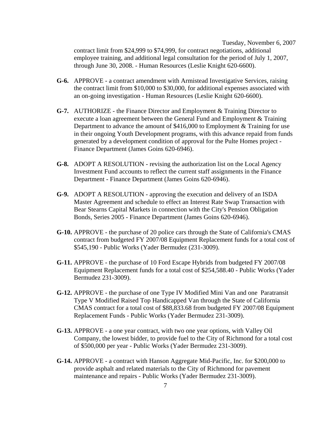Tuesday, November 6, 2007 contract limit from \$24,999 to \$74,999, for contract negotiations, additional employee training, and additional legal consultation for the period of July 1, 2007, through June 30, 2008. - Human Resources (Leslie Knight 620-6600).

- **G-6.** APPROVE a contract amendment with Armistead Investigative Services, raising the contract limit from \$10,000 to \$30,000, for additional expenses associated with an on-going investigation - Human Resources (Leslie Knight 620-6600).
- **G-7.** AUTHORIZE the Finance Director and Employment & Training Director to execute a loan agreement between the General Fund and Employment & Training Department to advance the amount of \$416,000 to Employment & Training for use in their ongoing Youth Development programs, with this advance repaid from funds generated by a development condition of approval for the Pulte Homes project - Finance Department (James Goins 620-6946).
- **G-8.** ADOPT A RESOLUTION revising the authorization list on the Local Agency Investment Fund accounts to reflect the current staff assignments in the Finance Department - Finance Department (James Goins 620-6946).
- **G-9.** ADOPT A RESOLUTION approving the execution and delivery of an ISDA Master Agreement and schedule to effect an Interest Rate Swap Transaction with Bear Stearns Capital Markets in connection with the City's Pension Obligation Bonds, Series 2005 - Finance Department (James Goins 620-6946).
- **G-10.** APPROVE the purchase of 20 police cars through the State of California's CMAS contract from budgeted FY 2007/08 Equipment Replacement funds for a total cost of \$545,190 - Public Works (Yader Bermudez (231-3009).
- **G-11.** APPROVE the purchase of 10 Ford Escape Hybrids from budgeted FY 2007/08 Equipment Replacement funds for a total cost of \$254,588.40 - Public Works (Yader Bermudez 231-3009).
- **G-12.** APPROVE the purchase of one Type IV Modified Mini Van and one Paratransit Type V Modified Raised Top Handicapped Van through the State of California CMAS contract for a total cost of \$88,833.68 from budgeted FY 2007/08 Equipment Replacement Funds - Public Works (Yader Bermudez 231-3009).
- **G-13.** APPROVE a one year contract, with two one year options, with Valley Oil Company, the lowest bidder, to provide fuel to the City of Richmond for a total cost of \$500,000 per year - Public Works (Yader Bermudez 231-3009).
- **G-14.** APPROVE a contract with Hanson Aggregate Mid-Pacific, Inc. for \$200,000 to provide asphalt and related materials to the City of Richmond for pavement maintenance and repairs - Public Works (Yader Bermudez 231-3009).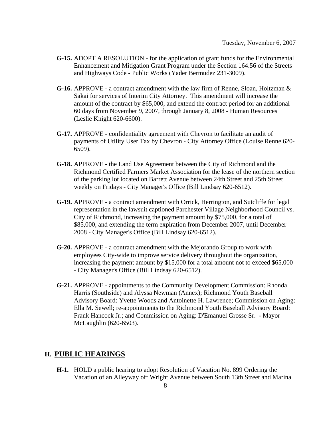- **G-15.** ADOPT A RESOLUTION for the application of grant funds for the Environmental Enhancement and Mitigation Grant Program under the Section 164.56 of the Streets and Highways Code - Public Works (Yader Bermudez 231-3009).
- **G-16.** APPROVE a contract amendment with the law firm of Renne, Sloan, Holtzman & Sakai for services of Interim City Attorney. This amendment will increase the amount of the contract by \$65,000, and extend the contract period for an additional 60 days from November 9, 2007, through January 8, 2008 - Human Resources (Leslie Knight 620-6600).
- **G-17.** APPROVE confidentiality agreement with Chevron to facilitate an audit of payments of Utility User Tax by Chevron - City Attorney Office (Louise Renne 620- 6509).
- **G-18.** APPROVE the Land Use Agreement between the City of Richmond and the Richmond Certified Farmers Market Association for the lease of the northern section of the parking lot located on Barrett Avenue between 24th Street and 25th Street weekly on Fridays - City Manager's Office (Bill Lindsay 620-6512).
- **G-19.** APPROVE a contract amendment with Orrick, Herrington, and Sutcliffe for legal representation in the lawsuit captioned Parchester Village Neighborhood Council vs. City of Richmond, increasing the payment amount by \$75,000, for a total of \$85,000, and extending the term expiration from December 2007, until December 2008 - City Manager's Office (Bill Lindsay 620-6512).
- **G-20.** APPROVE a contract amendment with the Mejorando Group to work with employees City-wide to improve service delivery throughout the organization, increasing the payment amount by \$15,000 for a total amount not to exceed \$65,000 - City Manager's Office (Bill Lindsay 620-6512).
- **G-21.** APPROVE appointments to the Community Development Commission: Rhonda Harris (Southside) and Alyssa Newman (Annex); Richmond Youth Baseball Advisory Board: Yvette Woods and Antoinette H. Lawrence; Commission on Aging: Ella M. Sewell; re-appointments to the Richmond Youth Baseball Advisory Board: Frank Hancock Jr.; and Commission on Aging: D'Emanuel Grosse Sr. - Mayor McLaughlin (620-6503).

### **H. PUBLIC HEARINGS**

 **H-1.** HOLD a public hearing to adopt Resolution of Vacation No. 899 Ordering the Vacation of an Alleyway off Wright Avenue between South 13th Street and Marina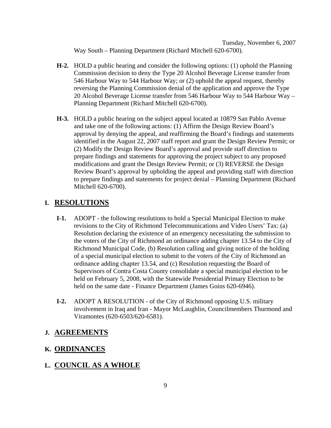Tuesday, November 6, 2007 Way South – Planning Department (Richard Mitchell 620-6700).

- **H-2.** HOLD a public hearing and consider the following options: (1) uphold the Planning Commission decision to deny the Type 20 Alcohol Beverage License transfer from 546 Harbour Way to 544 Harbour Way; or (2) uphold the appeal request, thereby reversing the Planning Commission denial of the application and approve the Type 20 Alcohol Beverage License transfer from 546 Harbour Way to 544 Harbour Way – Planning Department (Richard Mitchell 620-6700).
- **H-3.** HOLD a public hearing on the subject appeal located at 10879 San Pablo Avenue and take one of the following actions: (1) Affirm the Design Review Board's approval by denying the appeal, and reaffirming the Board's findings and statements identified in the August 22, 2007 staff report and grant the Design Review Permit; or (2) Modify the Design Review Board's approval and provide staff direction to prepare findings and statements for approving the project subject to any proposed modifications and grant the Design Review Permit; or (3) REVERSE the Design Review Board's approval by upholding the appeal and providing staff with direction to prepare findings and statements for project denial – Planning Department (Richard Mitchell 620-6700).

### **I. RESOLUTIONS**

- **I-1.** ADOPT the following resolutions to hold a Special Municipal Election to make revisions to the City of Richmond Telecommunications and Video Users' Tax: (a) Resolution declaring the existence of an emergency necessitating the submission to the voters of the City of Richmond an ordinance adding chapter 13.54 to the City of Richmond Municipal Code, (b) Resolution calling and giving notice of the holding of a special municipal election to submit to the voters of the City of Richmond an ordinance adding chapter 13.54, and (c) Resolution requesting the Board of Supervisors of Contra Costa County consolidate a special municipal election to be held on February 5, 2008, with the Statewide Presidential Primary Election to be held on the same date - Finance Department (James Goins 620-6946).
- **I-2.** ADOPT A RESOLUTION of the City of Richmond opposing U.S. military involvement in Iraq and Iran - Mayor McLaughlin, Councilmembers Thurmond and Viramontes (620-6503/620-6581).

### **J. AGREEMENTS**

### **K. ORDINANCES**

### **L. COUNCIL AS A WHOLE**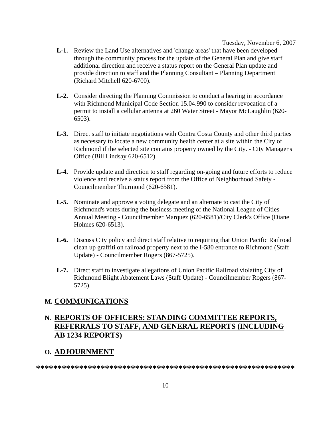Tuesday, November 6, 2007

- **L-1.** Review the Land Use alternatives and 'change areas' that have been developed through the community process for the update of the General Plan and give staff additional direction and receive a status report on the General Plan update and provide direction to staff and the Planning Consultant – Planning Department (Richard Mitchell 620-6700).
- **L-2.** Consider directing the Planning Commission to conduct a hearing in accordance with Richmond Municipal Code Section 15.04.990 to consider revocation of a permit to install a cellular antenna at 260 Water Street - Mayor McLaughlin (620- 6503).
- **L-3.** Direct staff to initiate negotiations with Contra Costa County and other third parties as necessary to locate a new community health center at a site within the City of Richmond if the selected site contains property owned by the City. - City Manager's Office (Bill Lindsay 620-6512)
- **L-4.** Provide update and direction to staff regarding on-going and future efforts to reduce violence and receive a status report from the Office of Neighborhood Safety - Councilmember Thurmond (620-6581).
- **L-5.** Nominate and approve a voting delegate and an alternate to cast the City of Richmond's votes during the business meeting of the National League of Cities Annual Meeting - Councilmember Marquez (620-6581)/City Clerk's Office (Diane Holmes 620-6513).
- **L-6.** Discuss City policy and direct staff relative to requiring that Union Pacific Railroad clean up graffiti on railroad property next to the I-580 entrance to Richmond (Staff Update) - Councilmember Rogers (867-5725).
- **L-7.** Direct staff to investigate allegations of Union Pacific Railroad violating City of Richmond Blight Abatement Laws (Staff Update) - Councilmember Rogers (867- 5725).

### **M. COMMUNICATIONS**

# **N. REPORTS OF OFFICERS: STANDING COMMITTEE REPORTS, REFERRALS TO STAFF, AND GENERAL REPORTS (INCLUDING AB 1234 REPORTS)**

### **O. ADJOURNMENT**

**\*\*\*\*\*\*\*\*\*\*\*\*\*\*\*\*\*\*\*\*\*\*\*\*\*\*\*\*\*\*\*\*\*\*\*\*\*\*\*\*\*\*\*\*\*\*\*\*\*\*\*\*\*\*\*\*\*\*\*\***